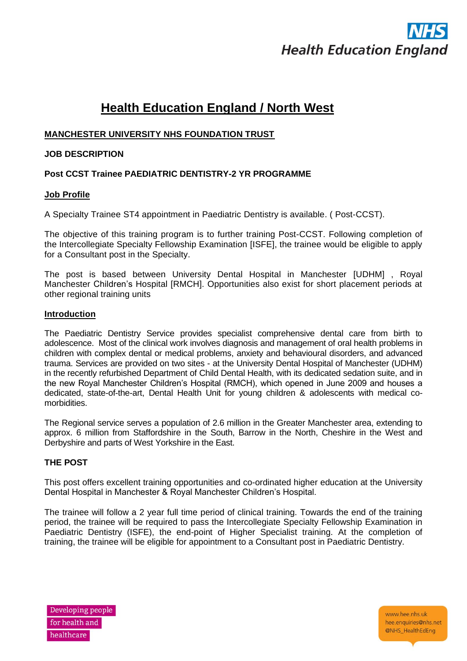# **Health Education England**

# **Health Education England / North West**

## **MANCHESTER UNIVERSITY NHS FOUNDATION TRUST**

### **JOB DESCRIPTION**

# **Post CCST Trainee PAEDIATRIC DENTISTRY-2 YR PROGRAMME**

#### **Job Profile**

A Specialty Trainee ST4 appointment in Paediatric Dentistry is available. ( Post-CCST).

The objective of this training program is to further training Post-CCST. Following completion of the Intercollegiate Specialty Fellowship Examination [ISFE], the trainee would be eligible to apply for a Consultant post in the Specialty.

The post is based between University Dental Hospital in Manchester [UDHM] , Royal Manchester Children's Hospital [RMCH]. Opportunities also exist for short placement periods at other regional training units

#### **Introduction**

The Paediatric Dentistry Service provides specialist comprehensive dental care from birth to adolescence. Most of the clinical work involves diagnosis and management of oral health problems in children with complex dental or medical problems, anxiety and behavioural disorders, and advanced trauma. Services are provided on two sites - at the University Dental Hospital of Manchester (UDHM) in the recently refurbished Department of Child Dental Health, with its dedicated sedation suite, and in the new Royal Manchester Children's Hospital (RMCH), which opened in June 2009 and houses a dedicated, state-of-the-art, Dental Health Unit for young children & adolescents with medical comorbidities.

The Regional service serves a population of 2.6 million in the Greater Manchester area, extending to approx. 6 million from Staffordshire in the South, Barrow in the North, Cheshire in the West and Derbyshire and parts of West Yorkshire in the East.

## **THE POST**

This post offers excellent training opportunities and co-ordinated higher education at the University Dental Hospital in Manchester & Royal Manchester Children's Hospital.

The trainee will follow a 2 year full time period of clinical training. Towards the end of the training period, the trainee will be required to pass the Intercollegiate Specialty Fellowship Examination in Paediatric Dentistry (ISFE), the end-point of Higher Specialist training. At the completion of training, the trainee will be eligible for appointment to a Consultant post in Paediatric Dentistry.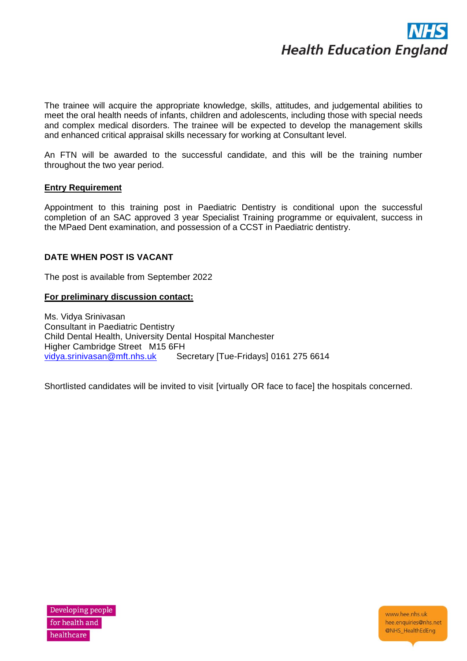

The trainee will acquire the appropriate knowledge, skills, attitudes, and judgemental abilities to meet the oral health needs of infants, children and adolescents, including those with special needs and complex medical disorders. The trainee will be expected to develop the management skills and enhanced critical appraisal skills necessary for working at Consultant level.

An FTN will be awarded to the successful candidate, and this will be the training number throughout the two year period.

#### **Entry Requirement**

Appointment to this training post in Paediatric Dentistry is conditional upon the successful completion of an SAC approved 3 year Specialist Training programme or equivalent, success in the MPaed Dent examination, and possession of a CCST in Paediatric dentistry.

#### **DATE WHEN POST IS VACANT**

The post is available from September 2022

#### **For preliminary discussion contact:**

Ms. Vidya Srinivasan Consultant in Paediatric Dentistry Child Dental Health, University Dental Hospital Manchester Higher Cambridge Street M15 6FH<br>vidya.srinivasan@mft.nhs.uk Se Secretary [Tue-Fridays] 0161 275 6614

Shortlisted candidates will be invited to visit [virtually OR face to face] the hospitals concerned.

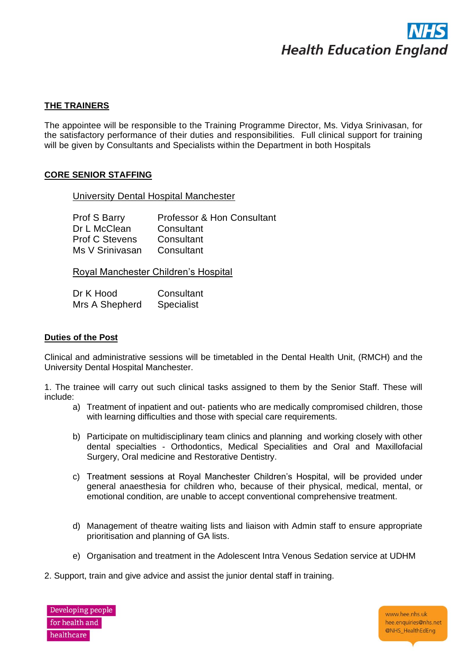

#### **THE TRAINERS**

The appointee will be responsible to the Training Programme Director, Ms. Vidya Srinivasan, for the satisfactory performance of their duties and responsibilities. Full clinical support for training will be given by Consultants and Specialists within the Department in both Hospitals

#### **CORE SENIOR STAFFING**

University Dental Hospital Manchester

| Prof S Barry          | Professor & Hon Consultant |
|-----------------------|----------------------------|
| Dr L McClean          | Consultant                 |
| <b>Prof C Stevens</b> | Consultant                 |
| Ms V Srinivasan       | Consultant                 |

Royal Manchester Children's Hospital

| Dr K Hood      | Consultant        |  |  |
|----------------|-------------------|--|--|
| Mrs A Shepherd | <b>Specialist</b> |  |  |

#### **Duties of the Post**

Clinical and administrative sessions will be timetabled in the Dental Health Unit, (RMCH) and the University Dental Hospital Manchester.

1. The trainee will carry out such clinical tasks assigned to them by the Senior Staff. These will include:

- a) Treatment of inpatient and out- patients who are medically compromised children, those with learning difficulties and those with special care requirements.
- b) Participate on multidisciplinary team clinics and planning and working closely with other dental specialties - Orthodontics, Medical Specialities and Oral and Maxillofacial Surgery, Oral medicine and Restorative Dentistry.
- c) Treatment sessions at Royal Manchester Children's Hospital, will be provided under general anaesthesia for children who, because of their physical, medical, mental, or emotional condition, are unable to accept conventional comprehensive treatment.
- d) Management of theatre waiting lists and liaison with Admin staff to ensure appropriate prioritisation and planning of GA lists.
- e) Organisation and treatment in the Adolescent Intra Venous Sedation service at UDHM
- 2. Support, train and give advice and assist the junior dental staff in training.

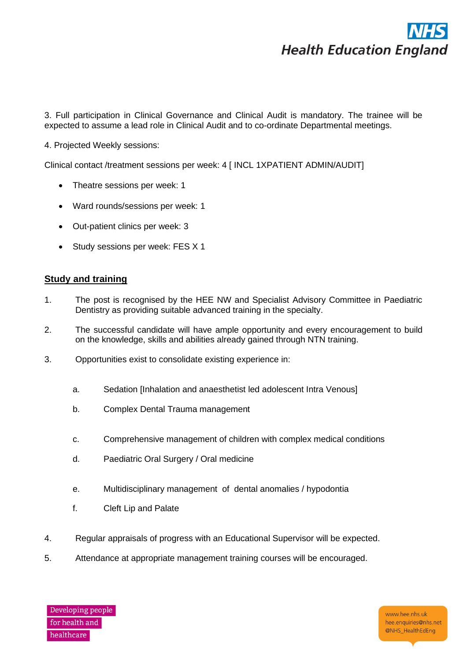# **Health Education England**

3. Full participation in Clinical Governance and Clinical Audit is mandatory. The trainee will be expected to assume a lead role in Clinical Audit and to co-ordinate Departmental meetings.

4. Projected Weekly sessions:

Clinical contact /treatment sessions per week: 4 [ INCL 1XPATIENT ADMIN/AUDIT]

- Theatre sessions per week: 1
- Ward rounds/sessions per week: 1
- Out-patient clinics per week: 3
- Study sessions per week: FES X 1

## **Study and training**

- 1. The post is recognised by the HEE NW and Specialist Advisory Committee in Paediatric Dentistry as providing suitable advanced training in the specialty.
- 2. The successful candidate will have ample opportunity and every encouragement to build on the knowledge, skills and abilities already gained through NTN training.
- 3. Opportunities exist to consolidate existing experience in:
	- a. Sedation [Inhalation and anaesthetist led adolescent Intra Venous]
	- b. Complex Dental Trauma management
	- c. Comprehensive management of children with complex medical conditions
	- d. Paediatric Oral Surgery / Oral medicine
	- e. Multidisciplinary management of dental anomalies / hypodontia
	- f. Cleft Lip and Palate
- 4. Regular appraisals of progress with an Educational Supervisor will be expected.
- 5. Attendance at appropriate management training courses will be encouraged.

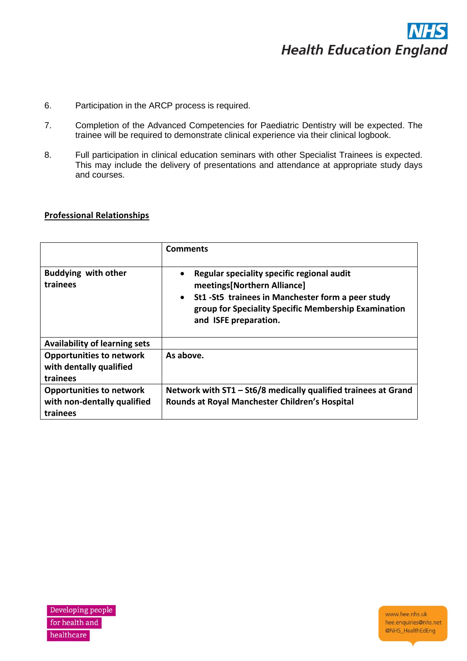

- 6. Participation in the ARCP process is required.
- 7. Completion of the Advanced Competencies for Paediatric Dentistry will be expected. The trainee will be required to demonstrate clinical experience via their clinical logbook.
- 8. Full participation in clinical education seminars with other Specialist Trainees is expected. This may include the delivery of presentations and attendance at appropriate study days and courses.

#### **Professional Relationships**

|                                                                            | <b>Comments</b>                                                                                                                                                                                                               |
|----------------------------------------------------------------------------|-------------------------------------------------------------------------------------------------------------------------------------------------------------------------------------------------------------------------------|
| <b>Buddying with other</b><br>trainees                                     | Regular speciality specific regional audit<br>meetings[Northern Alliance]<br>St1 - St5 trainees in Manchester form a peer study<br>$\bullet$<br>group for Speciality Specific Membership Examination<br>and ISFE preparation. |
| <b>Availability of learning sets</b>                                       |                                                                                                                                                                                                                               |
| <b>Opportunities to network</b><br>with dentally qualified<br>trainees     | As above.                                                                                                                                                                                                                     |
| <b>Opportunities to network</b><br>with non-dentally qualified<br>trainees | Network with ST1 - St6/8 medically qualified trainees at Grand<br>Rounds at Royal Manchester Children's Hospital                                                                                                              |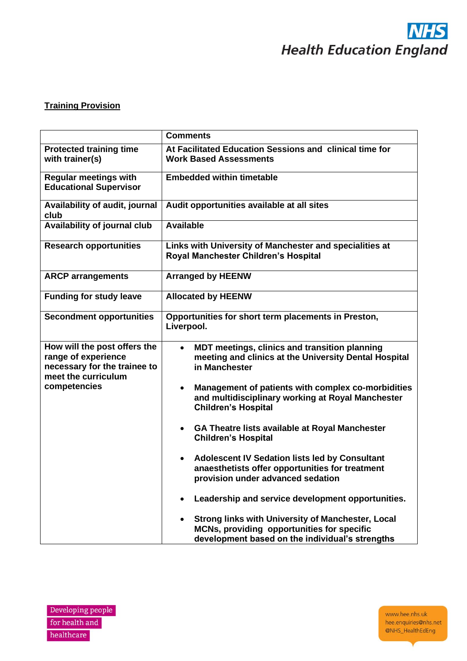

# **Training Provision**

|                                                                                                            | <b>Comments</b>                                                                                                                                                        |  |  |  |  |
|------------------------------------------------------------------------------------------------------------|------------------------------------------------------------------------------------------------------------------------------------------------------------------------|--|--|--|--|
| <b>Protected training time</b><br>with trainer(s)                                                          | At Facilitated Education Sessions and clinical time for<br><b>Work Based Assessments</b>                                                                               |  |  |  |  |
| <b>Regular meetings with</b><br><b>Educational Supervisor</b>                                              | <b>Embedded within timetable</b>                                                                                                                                       |  |  |  |  |
| Availability of audit, journal<br>club                                                                     | Audit opportunities available at all sites                                                                                                                             |  |  |  |  |
| Availability of journal club                                                                               | <b>Available</b>                                                                                                                                                       |  |  |  |  |
| <b>Research opportunities</b>                                                                              | Links with University of Manchester and specialities at<br>Royal Manchester Children's Hospital                                                                        |  |  |  |  |
| <b>ARCP</b> arrangements                                                                                   | <b>Arranged by HEENW</b>                                                                                                                                               |  |  |  |  |
| <b>Funding for study leave</b>                                                                             | <b>Allocated by HEENW</b>                                                                                                                                              |  |  |  |  |
| <b>Secondment opportunities</b>                                                                            | Opportunities for short term placements in Preston,<br>Liverpool.                                                                                                      |  |  |  |  |
| How will the post offers the<br>range of experience<br>necessary for the trainee to<br>meet the curriculum | MDT meetings, clinics and transition planning<br>$\bullet$<br>meeting and clinics at the University Dental Hospital<br>in Manchester                                   |  |  |  |  |
| competencies                                                                                               | Management of patients with complex co-morbidities<br>$\bullet$<br>and multidisciplinary working at Royal Manchester<br><b>Children's Hospital</b>                     |  |  |  |  |
|                                                                                                            | GA Theatre lists available at Royal Manchester<br>$\bullet$<br><b>Children's Hospital</b>                                                                              |  |  |  |  |
|                                                                                                            | <b>Adolescent IV Sedation lists led by Consultant</b><br>$\bullet$<br>anaesthetists offer opportunities for treatment<br>provision under advanced sedation             |  |  |  |  |
|                                                                                                            | Leadership and service development opportunities.                                                                                                                      |  |  |  |  |
|                                                                                                            | <b>Strong links with University of Manchester, Local</b><br>$\bullet$<br>MCNs, providing opportunities for specific<br>development based on the individual's strengths |  |  |  |  |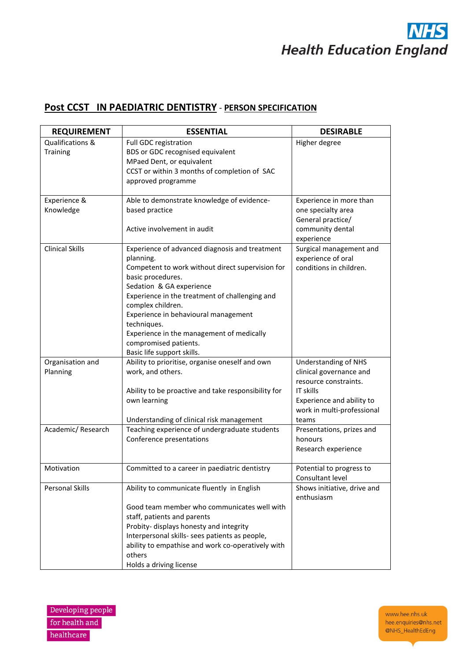# $\mathbf S$ **Health Education England**

# **Post CCST IN PAEDIATRIC DENTISTRY** - **PERSON SPECIFICATION**

| <b>REQUIREMENT</b>     | <b>ESSENTIAL</b>                                                           | <b>DESIRABLE</b>            |
|------------------------|----------------------------------------------------------------------------|-----------------------------|
| Qualifications &       | Full GDC registration                                                      | Higher degree               |
| Training               | BDS or GDC recognised equivalent                                           |                             |
|                        | MPaed Dent, or equivalent                                                  |                             |
|                        | CCST or within 3 months of completion of SAC                               |                             |
|                        | approved programme                                                         |                             |
|                        |                                                                            |                             |
| Experience &           | Able to demonstrate knowledge of evidence-                                 | Experience in more than     |
| Knowledge              | based practice                                                             | one specialty area          |
|                        |                                                                            | General practice/           |
|                        | Active involvement in audit                                                | community dental            |
|                        |                                                                            | experience                  |
| <b>Clinical Skills</b> | Experience of advanced diagnosis and treatment                             | Surgical management and     |
|                        | planning.                                                                  | experience of oral          |
|                        | Competent to work without direct supervision for                           | conditions in children.     |
|                        | basic procedures.                                                          |                             |
|                        | Sedation & GA experience                                                   |                             |
|                        | Experience in the treatment of challenging and<br>complex children.        |                             |
|                        | Experience in behavioural management                                       |                             |
|                        | techniques.                                                                |                             |
|                        | Experience in the management of medically                                  |                             |
|                        | compromised patients.                                                      |                             |
|                        | Basic life support skills.                                                 |                             |
| Organisation and       | Ability to prioritise, organise oneself and own                            | <b>Understanding of NHS</b> |
| Planning               | work, and others.                                                          | clinical governance and     |
|                        |                                                                            | resource constraints.       |
|                        | Ability to be proactive and take responsibility for                        | <b>IT skills</b>            |
|                        | own learning                                                               | Experience and ability to   |
|                        |                                                                            | work in multi-professional  |
|                        | Understanding of clinical risk management                                  | teams                       |
| Academic/Research      | Teaching experience of undergraduate students                              | Presentations, prizes and   |
|                        | Conference presentations                                                   | honours                     |
|                        |                                                                            | Research experience         |
|                        |                                                                            |                             |
| Motivation             | Committed to a career in paediatric dentistry                              | Potential to progress to    |
|                        |                                                                            | Consultant level            |
| <b>Personal Skills</b> | Ability to communicate fluently in English                                 | Shows initiative, drive and |
|                        |                                                                            | enthusiasm                  |
|                        | Good team member who communicates well with<br>staff, patients and parents |                             |
|                        | Probity- displays honesty and integrity                                    |                             |
|                        | Interpersonal skills- sees patients as people,                             |                             |
|                        | ability to empathise and work co-operatively with                          |                             |
|                        | others                                                                     |                             |
|                        | Holds a driving license                                                    |                             |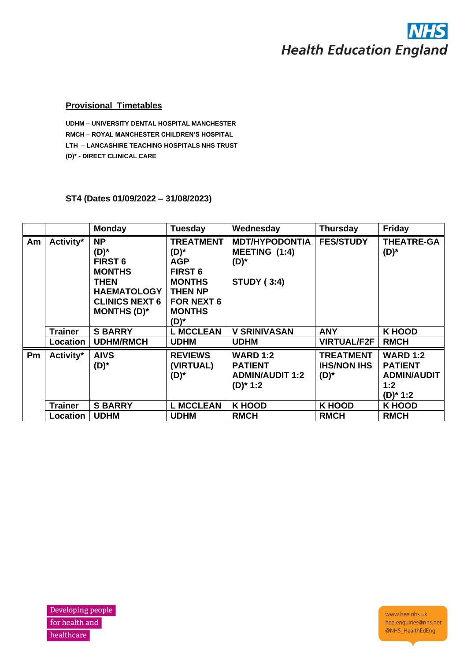# **Health Education England**

#### **Provisional Timetables**

**UDHM – UNIVERSITY DENTAL HOSPITAL MANCHESTER RMCH – ROYAL MANCHESTER CHILDREN'S HOSPITAL LTH – LANCASHIRE TEACHING HOSPITALS NHS TRUST (D)\* - DIRECT CLINICAL CARE**

# **ST4 (Dates 01/09/2022 – 31/08/2023)**

|    |                | <b>Monday</b>                                                                                                                            | <b>Tuesday</b>                                                                                                                                  | Wednesday                                                                  | <b>Thursday</b>                                   | <b>Friday</b>                                                                 |
|----|----------------|------------------------------------------------------------------------------------------------------------------------------------------|-------------------------------------------------------------------------------------------------------------------------------------------------|----------------------------------------------------------------------------|---------------------------------------------------|-------------------------------------------------------------------------------|
| Am | Activity*      | <b>NP</b><br>(D)*<br><b>FIRST 6</b><br><b>MONTHS</b><br><b>THEN</b><br><b>HAEMATOLOGY</b><br><b>CLINICS NEXT 6</b><br><b>MONTHS (D)*</b> | <b>TREATMENT</b><br>$(D)^*$<br><b>AGP</b><br><b>FIRST 6</b><br><b>MONTHS</b><br><b>THEN NP</b><br><b>FOR NEXT 6</b><br><b>MONTHS</b><br>$(D)^*$ | <b>MDT/HYPODONTIA</b><br>MEETING (1:4)<br>$(D)^*$<br><b>STUDY (3:4)</b>    | <b>FES/STUDY</b>                                  | <b>THEATRE-GA</b><br>$(D)^*$                                                  |
|    | <b>Trainer</b> | <b>S BARRY</b>                                                                                                                           | <b>L MCCLEAN</b>                                                                                                                                | <b>V SRINIVASAN</b>                                                        | <b>ANY</b>                                        | <b>K HOOD</b>                                                                 |
|    | Location       | <b>UDHM/RMCH</b>                                                                                                                         | <b>UDHM</b>                                                                                                                                     | <b>UDHM</b>                                                                | <b>VIRTUAL/F2F</b>                                | <b>RMCH</b>                                                                   |
| Pm | Activity*      | <b>AIVS</b><br>$(D)^*$                                                                                                                   | <b>REVIEWS</b><br>(VIRTUAL)<br>$(D)^*$                                                                                                          | <b>WARD 1:2</b><br><b>PATIENT</b><br><b>ADMIN/AUDIT 1:2</b><br>$(D)$ * 1:2 | <b>TREATMENT</b><br><b>IHS/NON IHS</b><br>$(D)^*$ | <b>WARD 1:2</b><br><b>PATIENT</b><br><b>ADMIN/AUDIT</b><br>1:2<br>$(D)^*$ 1:2 |
|    | <b>Trainer</b> | <b>S BARRY</b>                                                                                                                           | <b>L MCCLEAN</b>                                                                                                                                | <b>K HOOD</b>                                                              | <b>K HOOD</b>                                     | <b>K HOOD</b>                                                                 |
|    | Location       | <b>UDHM</b>                                                                                                                              | <b>UDHM</b>                                                                                                                                     | <b>RMCH</b>                                                                | <b>RMCH</b>                                       | <b>RMCH</b>                                                                   |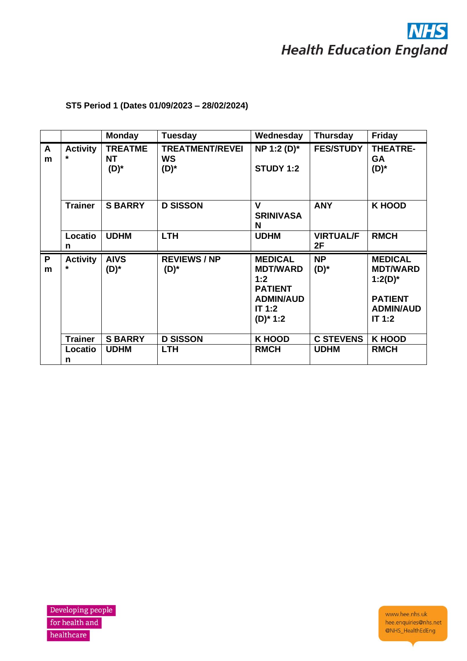

# **ST5 Period 1 (Dates 01/09/2023 – 28/02/2024)**

|        |                            | <b>Monday</b>                          | Tuesday                                        | Wednesday                                                                                               | <b>Thursday</b>        | <b>Friday</b>                                                                                     |
|--------|----------------------------|----------------------------------------|------------------------------------------------|---------------------------------------------------------------------------------------------------------|------------------------|---------------------------------------------------------------------------------------------------|
| A<br>m | <b>Activity</b>            | <b>TREATME</b><br><b>NT</b><br>$(D)^*$ | <b>TREATMENT/REVEI</b><br><b>WS</b><br>$(D)^*$ | NP 1:2 (D)*<br><b>STUDY 1:2</b>                                                                         | <b>FES/STUDY</b>       | <b>THEATRE-</b><br><b>GA</b><br>$(D)^*$                                                           |
|        | <b>Trainer</b>             | <b>S BARRY</b>                         | <b>D SISSON</b>                                | V<br><b>SRINIVASA</b><br>N                                                                              | <b>ANY</b>             | <b>K HOOD</b>                                                                                     |
|        | Locatio<br>n               | <b>UDHM</b>                            | <b>LTH</b>                                     | <b>UDHM</b>                                                                                             | <b>VIRTUAL/F</b><br>2F | <b>RMCH</b>                                                                                       |
| P<br>m | <b>Activity</b><br>$\star$ | <b>AIVS</b><br>(D)*                    | <b>REVIEWS/NP</b><br>$(D)^*$                   | <b>MEDICAL</b><br><b>MDT/WARD</b><br>1:2<br><b>PATIENT</b><br><b>ADMIN/AUD</b><br>IT 1:2<br>$(D)^* 1:2$ | <b>NP</b><br>$(D)^*$   | <b>MEDICAL</b><br><b>MDT/WARD</b><br>$1:2(D)^{*}$<br><b>PATIENT</b><br><b>ADMIN/AUD</b><br>IT 1:2 |
|        | <b>Trainer</b>             | <b>S BARRY</b>                         | <b>D SISSON</b>                                | <b>K HOOD</b>                                                                                           | <b>C STEVENS</b>       | <b>K HOOD</b>                                                                                     |
|        | Locatio<br>n               | <b>UDHM</b>                            | <b>LTH</b>                                     | <b>RMCH</b>                                                                                             | <b>UDHM</b>            | <b>RMCH</b>                                                                                       |